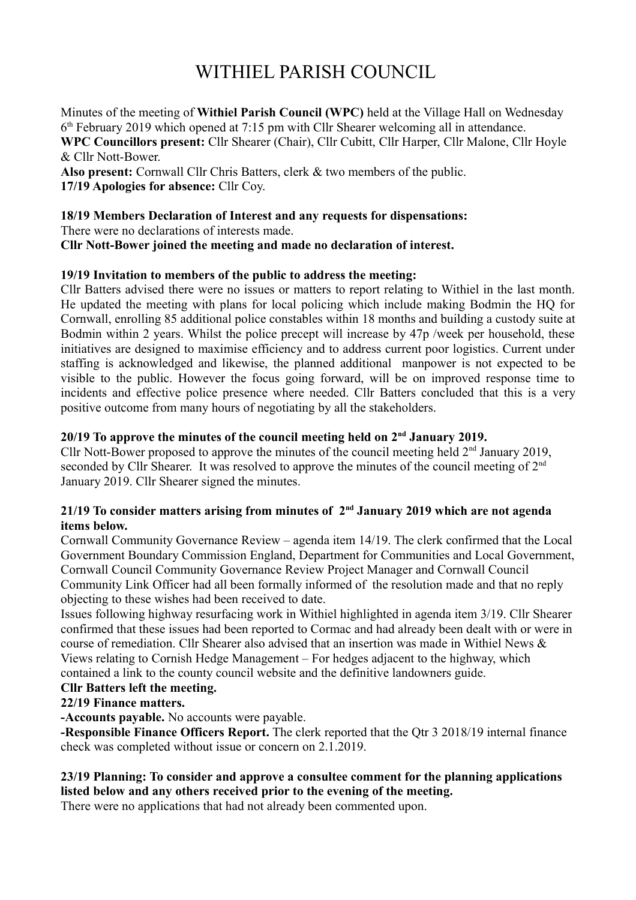# WITHIEL PARISH COUNCIL

Minutes of the meeting of **Withiel Parish Council (WPC)** held at the Village Hall on Wednesday 6 th February 2019 which opened at 7:15 pm with Cllr Shearer welcoming all in attendance. **WPC Councillors present:** Cllr Shearer (Chair), Cllr Cubitt, Cllr Harper, Cllr Malone, Cllr Hoyle & Cllr Nott-Bower.

**Also present:** Cornwall Cllr Chris Batters, clerk & two members of the public. **17/19 Apologies for absence:** Cllr Coy.

**18/19 Members Declaration of Interest and any requests for dispensations:** There were no declarations of interests made. **Cllr Nott-Bower joined the meeting and made no declaration of interest.**

## **19/19 Invitation to members of the public to address the meeting:**

Cllr Batters advised there were no issues or matters to report relating to Withiel in the last month. He updated the meeting with plans for local policing which include making Bodmin the HQ for Cornwall, enrolling 85 additional police constables within 18 months and building a custody suite at Bodmin within 2 years. Whilst the police precept will increase by 47p /week per household, these initiatives are designed to maximise efficiency and to address current poor logistics. Current under staffing is acknowledged and likewise, the planned additional manpower is not expected to be visible to the public. However the focus going forward, will be on improved response time to incidents and effective police presence where needed. Cllr Batters concluded that this is a very positive outcome from many hours of negotiating by all the stakeholders.

# **20/19 To approve the minutes of the council meeting held on 2nd January 2019.**

Cllr Nott-Bower proposed to approve the minutes of the council meeting held  $2<sup>nd</sup>$  January 2019, seconded by Cllr Shearer. It was resolved to approve the minutes of the council meeting of  $2^{nd}$ January 2019. Cllr Shearer signed the minutes.

## **21/19 To consider matters arising from minutes of 2nd January 2019 which are not agenda items below.**

Cornwall Community Governance Review – agenda item 14/19. The clerk confirmed that the Local Government Boundary Commission England, Department for Communities and Local Government, Cornwall Council Community Governance Review Project Manager and Cornwall Council Community Link Officer had all been formally informed of the resolution made and that no reply objecting to these wishes had been received to date.

Issues following highway resurfacing work in Withiel highlighted in agenda item 3/19. Cllr Shearer confirmed that these issues had been reported to Cormac and had already been dealt with or were in course of remediation. Cllr Shearer also advised that an insertion was made in Withiel News & Views relating to Cornish Hedge Management – For hedges adjacent to the highway, which contained a link to the county council website and the definitive landowners guide.

#### **Cllr Batters left the meeting.**

# **22/19 Finance matters.**

**-Accounts payable.** No accounts were payable.

**-Responsible Finance Officers Report.** The clerk reported that the Qtr 3 2018/19 internal finance check was completed without issue or concern on 2.1.2019.

## **23/19 Planning: To consider and approve a consultee comment for the planning applications listed below and any others received prior to the evening of the meeting.**

There were no applications that had not already been commented upon.